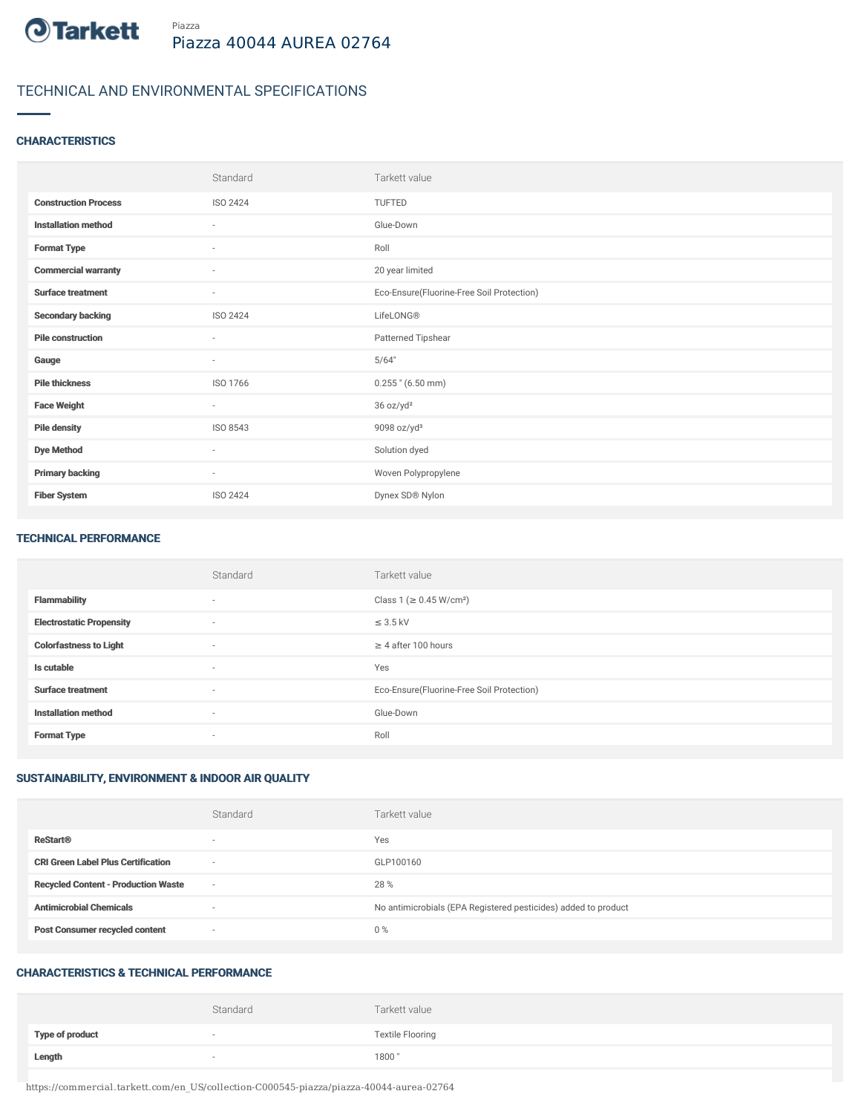

# TECHNICAL AND ENVIRONMENTAL SPECIFICATIONS

# **CHARACTERISTICS**

|                             | Standard                 | Tarkett value                             |
|-----------------------------|--------------------------|-------------------------------------------|
| <b>Construction Process</b> | ISO 2424                 | <b>TUFTED</b>                             |
| <b>Installation method</b>  | $\sim$                   | Glue-Down                                 |
| <b>Format Type</b>          | $\sim$                   | Roll                                      |
| <b>Commercial warranty</b>  | $\sim$                   | 20 year limited                           |
| <b>Surface treatment</b>    | $\sim$                   | Eco-Ensure(Fluorine-Free Soil Protection) |
| <b>Secondary backing</b>    | ISO 2424                 | LifeLONG®                                 |
| <b>Pile construction</b>    | ٠                        | Patterned Tipshear                        |
| Gauge                       | $\overline{\phantom{a}}$ | 5/64"                                     |
| <b>Pile thickness</b>       | ISO 1766                 | $0.255$ " (6.50 mm)                       |
| <b>Face Weight</b>          | $\sim$                   | 36 oz/yd <sup>2</sup>                     |
| <b>Pile density</b>         | ISO 8543                 | 9098 oz/yd <sup>3</sup>                   |
| <b>Dye Method</b>           | $\overline{\phantom{a}}$ | Solution dyed                             |
| <b>Primary backing</b>      | $\sim$                   | Woven Polypropylene                       |
| <b>Fiber System</b>         | <b>ISO 2424</b>          | Dynex SD® Nylon                           |

#### TECHNICAL PERFORMANCE

|                                 | Standard                 | Tarkett value                             |
|---------------------------------|--------------------------|-------------------------------------------|
| <b>Flammability</b>             | $\overline{\phantom{a}}$ | Class 1 (≥ 0.45 W/cm <sup>2</sup> )       |
| <b>Electrostatic Propensity</b> | $\sim$                   | $\leq$ 3.5 kV                             |
| <b>Colorfastness to Light</b>   | $\sim$                   | $\geq$ 4 after 100 hours                  |
| Is cutable                      | $\sim$                   | Yes                                       |
| <b>Surface treatment</b>        | $\sim$                   | Eco-Ensure(Fluorine-Free Soil Protection) |
| <b>Installation method</b>      | $\overline{\phantom{a}}$ | Glue-Down                                 |
| <b>Format Type</b>              | $\overline{\phantom{a}}$ | Roll                                      |

# SUSTAINABILITY, ENVIRONMENT & INDOOR AIR QUALITY

|                                            | Standard                 | Tarkett value                                                  |
|--------------------------------------------|--------------------------|----------------------------------------------------------------|
| <b>ReStart®</b>                            | $\overline{\phantom{a}}$ | Yes                                                            |
| <b>CRI Green Label Plus Certification</b>  | $\overline{\phantom{a}}$ | GLP100160                                                      |
| <b>Recycled Content - Production Waste</b> | $\overline{\phantom{a}}$ | 28 %                                                           |
| <b>Antimicrobial Chemicals</b>             | <b>1999</b>              | No antimicrobials (EPA Registered pesticides) added to product |
| <b>Post Consumer recycled content</b>      | $\overline{\phantom{a}}$ | $0\%$                                                          |

#### CHARACTERISTICS & TECHNICAL PERFORMANCE

|                        | Standard                 | Tarkett value           |
|------------------------|--------------------------|-------------------------|
| <b>Type of product</b> | $\overline{\phantom{a}}$ | <b>Textile Flooring</b> |
| Length                 | $\overline{\phantom{a}}$ | 1800"                   |

https://commercial.tarkett.com/en\_US/collection-C000545-piazza/piazza-40044-aurea-02764